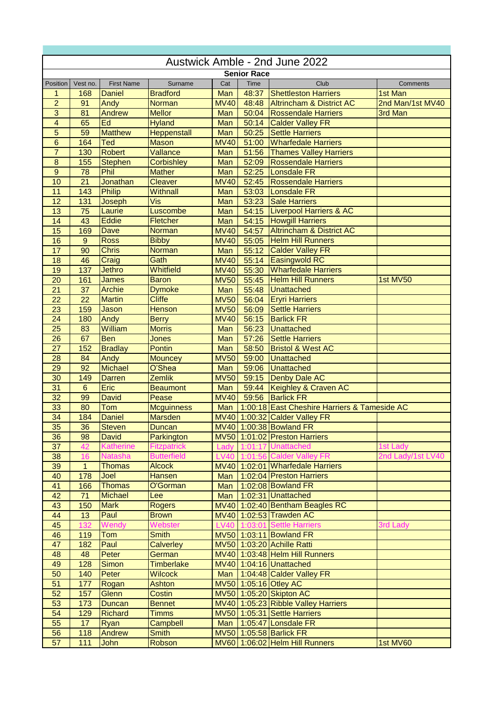| Austwick Amble - 2nd June 2022 |                 |                   |                    |             |                    |                                              |                   |  |  |
|--------------------------------|-----------------|-------------------|--------------------|-------------|--------------------|----------------------------------------------|-------------------|--|--|
|                                |                 |                   |                    |             | <b>Senior Race</b> |                                              |                   |  |  |
| Position                       | Vest no.        | <b>First Name</b> | Surname            | Cat         | Time               | Club                                         | Comments          |  |  |
| 1                              | 168             | <b>Daniel</b>     | <b>Bradford</b>    | Man         | 48:37              | <b>Shettleston Harriers</b>                  | 1st Man           |  |  |
| $\overline{2}$                 | 91              | Andy              | <b>Norman</b>      | <b>MV40</b> | 48:48              | <b>Altrincham &amp; District AC</b>          | 2nd Man/1st MV40  |  |  |
| $\overline{3}$                 | 81              | Andrew            | <b>Mellor</b>      | Man         | 50:04              | <b>Rossendale Harriers</b>                   | 3rd Man           |  |  |
| $\overline{\mathbf{4}}$        | 65              | Ed                | <b>Hyland</b>      | Man         | 50:14              | <b>Calder Valley FR</b>                      |                   |  |  |
| $\overline{5}$                 | $\overline{59}$ | <b>Matthew</b>    | <b>Heppenstall</b> | Man         | 50:25              | <b>Settle Harriers</b>                       |                   |  |  |
| 6                              | 164             | Ted               | <b>Mason</b>       | <b>MV40</b> | 51:00              | <b>Wharfedale Harriers</b>                   |                   |  |  |
| $\overline{7}$                 | 130             | <b>Robert</b>     | Vallance           | Man         | 51:56              | <b>Thames Valley Harriers</b>                |                   |  |  |
| $\bf 8$                        | 155             | <b>Stephen</b>    | <b>Corbishley</b>  | Man         | 52:09              | <b>Rossendale Harriers</b>                   |                   |  |  |
| $\overline{9}$                 | 78              | Phil              | <b>Mather</b>      | Man         | 52:25              | Lonsdale FR                                  |                   |  |  |
| 10                             | 21              | Jonathan          | <b>Cleaver</b>     | <b>MV40</b> | 52:45              | <b>Rossendale Harriers</b>                   |                   |  |  |
| 11                             | 143             | <b>Philip</b>     | Withnall           | Man         | 53:03              | Lonsdale FR                                  |                   |  |  |
| 12                             | 131             | Joseph            | Vis                | Man         | 53:23              | <b>Sale Harriers</b>                         |                   |  |  |
| 13                             | 75              | Laurie            | Luscombe           | Man         | 54:15              | Liverpool Harriers & AC                      |                   |  |  |
| 14                             | 43              | <b>Eddie</b>      | Fletcher           | Man         | 54:15              | <b>Howgill Harriers</b>                      |                   |  |  |
| 15                             | 169             | Dave              | <b>Norman</b>      | <b>MV40</b> | 54:57              | <b>Altrincham &amp; District AC</b>          |                   |  |  |
| 16                             | 9               | <b>Ross</b>       | <b>Bibby</b>       | <b>MV40</b> | 55:05              | <b>Helm Hill Runners</b>                     |                   |  |  |
| 17                             | 90              | <b>Chris</b>      | <b>Norman</b>      | Man         | 55:12              | <b>Calder Valley FR</b>                      |                   |  |  |
| 18                             | 46              | Craig             | Gath               | <b>MV40</b> | 55:14              | <b>Easingwold RC</b>                         |                   |  |  |
| 19                             | 137             | <b>Jethro</b>     | <b>Whitfield</b>   | <b>MV40</b> | 55:30              | <b>Wharfedale Harriers</b>                   |                   |  |  |
| 20                             | 161             | <b>James</b>      | <b>Baron</b>       | <b>MV50</b> | 55:45              | <b>Helm Hill Runners</b>                     | 1st MV50          |  |  |
| 21                             | 37              | <b>Archie</b>     | <b>Dymoke</b>      | Man         | 55:48              | Unattached                                   |                   |  |  |
| 22                             | 22              | <b>Martin</b>     | <b>Cliffe</b>      | <b>MV50</b> | 56:04              | <b>Eryri Harriers</b>                        |                   |  |  |
| 23                             | 159             | Jason             | <b>Henson</b>      | <b>MV50</b> | 56:09              | <b>Settle Harriers</b>                       |                   |  |  |
| 24                             | 180             | Andy              | <b>Berry</b>       | <b>MV40</b> | 56:15              | <b>Barlick FR</b>                            |                   |  |  |
| 25                             | 83              | William           | <b>Morris</b>      | Man         | 56:23              | <b>Unattached</b>                            |                   |  |  |
| 26                             | 67              | <b>Ben</b>        | Jones              | Man         | 57:26              | <b>Settle Harriers</b>                       |                   |  |  |
| 27                             | 152             | <b>Bradlay</b>    | <b>Pontin</b>      | Man         | 58:50              | <b>Bristol &amp; West AC</b>                 |                   |  |  |
| 28                             | 84              | Andy              | <b>Mouncey</b>     | <b>MV50</b> | 59:00              | <b>Unattached</b>                            |                   |  |  |
| 29                             | 92              | <b>Michael</b>    | O'Shea             | Man         | 59:06              | <b>Unattached</b>                            |                   |  |  |
| 30                             | 149             | <b>Darren</b>     | <b>Zemlik</b>      | <b>MV50</b> | 59:15              | Denby Dale AC                                |                   |  |  |
| 31                             | $6\phantom{1}$  | Eric              | <b>Beaumont</b>    | Man         | 59:44              | Keighley & Craven AC                         |                   |  |  |
| 32                             | 99              | <b>David</b>      | Pease              | <b>MV40</b> | 59:56              | <b>Barlick FR</b>                            |                   |  |  |
| 33                             | 80              | Tom               | <b>Mcguinness</b>  | Man         |                    | 1:00:18 East Cheshire Harriers & Tameside AC |                   |  |  |
| $\overline{34}$                | 184             | <b>Daniel</b>     | <b>Marsden</b>     | <b>MV40</b> |                    | 1:00:32 Calder Valley FR                     |                   |  |  |
| 35                             | 36              | <b>Steven</b>     | <b>Duncan</b>      |             |                    | MV40 1:00:38 Bowland FR                      |                   |  |  |
| 36                             | 98              | <b>David</b>      | Parkington         |             |                    | MV50 1:01:02 Preston Harriers                |                   |  |  |
| 37                             | 42              | <b>Katherine</b>  | <b>Fitzpatrick</b> | Lady        |                    | 1:01:17 Unattached                           | 1st Lady          |  |  |
| 38                             | 16              | <b>Natasha</b>    | <b>Butterfield</b> |             |                    | LV40 1:01:56 Calder Valley FR                | 2nd Lady/1st LV40 |  |  |
| 39                             | $\mathbf{1}$    | <b>Thomas</b>     | <b>Alcock</b>      |             |                    | MV40 1:02:01 Wharfedale Harriers             |                   |  |  |
| 40                             | 178             | Joel              | <b>Hansen</b>      | Man         |                    | 1:02:04 Preston Harriers                     |                   |  |  |
| $\overline{41}$                | 166             | <b>Thomas</b>     | O'Gorman           | Man         |                    | 1:02:08 Bowland FR                           |                   |  |  |
| 42                             | 71              | <b>Michael</b>    | Lee                | Man         |                    | 1:02:31 Unattached                           |                   |  |  |
| 43                             | 150             | <b>Mark</b>       | <b>Rogers</b>      |             |                    | MV40 1:02:40 Bentham Beagles RC              |                   |  |  |
| 44                             | 13              | Paul              | <b>Brown</b>       |             |                    | MV40 1:02:53 Trawden AC                      |                   |  |  |
| 45                             | 132             | Wendy             | Webster            | <b>LV40</b> |                    | 1:03:01 Settle Harriers                      | 3rd Lady          |  |  |
| 46                             | 119             | Tom               | <b>Smith</b>       |             |                    | MV50 1:03:11 Bowland FR                      |                   |  |  |
| 47                             | 182             | Paul              | Calverley          |             |                    | MV50 1:03:20 Achille Ratti                   |                   |  |  |
| 48                             | 48              | Peter             | German             |             |                    | MV40 1:03:48 Helm Hill Runners               |                   |  |  |
| 49                             | 128             | <b>Simon</b>      | <b>Timberlake</b>  |             |                    | MV40 1:04:16 Unattached                      |                   |  |  |
| 50                             | 140             | Peter             | <b>Wilcock</b>     | Man         |                    | 1:04:48 Calder Valley FR                     |                   |  |  |
| 51                             | 177             | Rogan             | <b>Ashton</b>      |             |                    | MV50 1:05:16 Otley AC                        |                   |  |  |
| 52                             | 157             | Glenn             | Costin             |             |                    | MV50 1:05:20 Skipton AC                      |                   |  |  |
| 53                             | 173             | <b>Duncan</b>     | <b>Bennet</b>      |             |                    | MV40 1:05:23 Ribble Valley Harriers          |                   |  |  |
| 54                             | 129             | <b>Richard</b>    | <b>Timms</b>       |             |                    | MV50 1:05:31 Settle Harriers                 |                   |  |  |
| 55                             | 17              | Ryan              | Campbell           | Man         |                    | 1:05:47 Lonsdale FR                          |                   |  |  |
| 56                             | 118             | Andrew            | <b>Smith</b>       |             |                    | MV50 1:05:58 Barlick FR                      |                   |  |  |
| 57                             | 111             | John              | Robson             |             |                    | MV60 1:06:02 Helm Hill Runners               | 1st MV60          |  |  |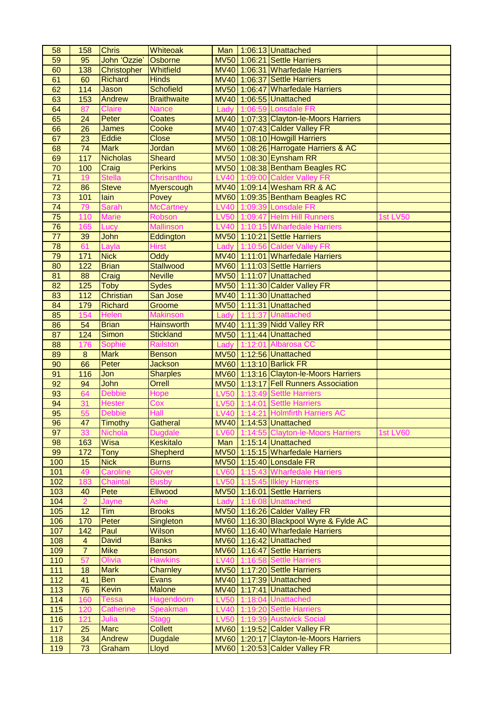| 58              | 158                     | <b>Chris</b>     | <b>Whiteoak</b>    | Man         |         | 1:06:13 Unattached                                     |                 |
|-----------------|-------------------------|------------------|--------------------|-------------|---------|--------------------------------------------------------|-----------------|
| 59              | 95                      | John 'Ozzie'     | Osborne            |             |         | MV50 1:06:21 Settle Harriers                           |                 |
| 60              | 138                     | Christopher      | Whitfield          |             |         | MV40 1:06:31 Wharfedale Harriers                       |                 |
| 61              | 60                      | <b>Richard</b>   | <b>Hinds</b>       |             |         | MV40 1:06:37 Settle Harriers                           |                 |
| 62              | 114                     | Jason            | <b>Schofield</b>   |             |         | MV50 1:06:47 Wharfedale Harriers                       |                 |
| 63              | 153                     | Andrew           | <b>Braithwaite</b> |             |         | MV40 1:06:55 Unattached                                |                 |
| 64              | 87                      | <b>Claire</b>    | <b>Nance</b>       | Lady        |         | 1:06:59 Lonsdale FR                                    |                 |
| 65              | 24                      | Peter            | <b>Coates</b>      |             |         | MV40 1:07:33 Clayton-le-Moors Harriers                 |                 |
| 66              | 26                      | James            | Cooke              |             |         | MV40 1:07:43 Calder Valley FR                          |                 |
| 67              | 23                      | <b>Eddie</b>     | <b>Close</b>       |             |         | MV50 1:08:10 Howgill Harriers                          |                 |
| 68              | 74                      | <b>Mark</b>      | Jordan             |             |         | MV60 1:08:26 Harrogate Harriers & AC                   |                 |
| 69              | $\frac{117}{117}$       | <b>Nicholas</b>  | <b>Sheard</b>      |             |         | MV50 1:08:30 Eynsham RR                                |                 |
| $\overline{70}$ | 100                     | Craig            | <b>Perkins</b>     |             |         | MV50 1:08:38 Bentham Beagles RC                        |                 |
| $\overline{71}$ | 19                      | <b>Stella</b>    | Chrisanthou        |             |         | LV40 1:09:00 Calder Valley FR                          |                 |
| $\overline{72}$ | 86                      | <b>Steve</b>     |                    |             |         | MV40 1:09:14 Wesham RR & AC                            |                 |
| $\overline{73}$ |                         |                  | Myerscough         |             |         |                                                        |                 |
|                 | 101                     | lain             | Povey              |             |         | MV60 1:09:35 Bentham Beagles RC<br>1:09:39 Lonsdale FR |                 |
| $\overline{74}$ | 79                      | <b>Sarah</b>     | <b>McCartney</b>   | <b>LV40</b> |         |                                                        |                 |
| 75              | 110                     | <b>Marie</b>     | Robson             | <b>LV50</b> |         | 1:09:47 Helm Hill Runners                              | <b>1st LV50</b> |
| 76              | 165                     | Lucy             | <b>Mallinson</b>   | <b>LV40</b> |         | 1:10:15 Wharfedale Harriers                            |                 |
| 77              | 39                      | John             | Eddington          |             |         | MV50 1:10:21 Settle Harriers                           |                 |
| 78              | 61                      | Layla            | <b>Hirst</b>       | Lady        |         | 1:10:56 Calder Valley FR                               |                 |
| 79              | 171                     | <b>Nick</b>      | Oddy               |             |         | MV40 1:11:01 Wharfedale Harriers                       |                 |
| 80              | 122                     | <b>Brian</b>     | <b>Stallwood</b>   |             |         | MV60 1:11:03 Settle Harriers                           |                 |
| 81              | 88                      | Craig            | <b>Neville</b>     |             |         | MV50 1:11:07 Unattached                                |                 |
| 82              | 125                     | <b>Toby</b>      | <b>Sydes</b>       |             |         | MV50 1:11:30 Calder Valley FR                          |                 |
| 83              | 112                     | <b>Christian</b> | San Jose           |             |         | MV40 1:11:30 Unattached                                |                 |
| 84              | 179                     | <b>Richard</b>   | Groome             |             |         | MV50 1:11:31 Unattached                                |                 |
| 85              | 154                     | Helen            | <b>Makinson</b>    | Lady        |         | 1:11:37 Unattached                                     |                 |
| 86              | 54                      | <b>Brian</b>     | <b>Hainsworth</b>  |             |         | MV40 1:11:39 Nidd Valley RR                            |                 |
| 87              | 124                     | <b>Simon</b>     | <b>Stickland</b>   |             |         | MV50 1:11:44 Unattached                                |                 |
| 88              | 176                     | Sophie           | <b>Railston</b>    | Lady        | 1:12:01 | <b>Albarosa CC</b>                                     |                 |
| 89              | 8                       | <b>Mark</b>      | <b>Benson</b>      |             |         | MV50 1:12:56 Unattached                                |                 |
| 90              | 66                      | Peter            | <b>Jackson</b>     |             |         | MV60 1:13:10 Barlick FR                                |                 |
| 91              | 116                     | Jon              | <b>Sharples</b>    |             |         | MV60 1:13:16 Clayton-le-Moors Harriers                 |                 |
| 92              | 94                      | John             | Orrell             | <b>MV50</b> |         | 1:13:17 Fell Runners Association                       |                 |
| 93              | 64                      | <b>Debbie</b>    | Hope               | <b>LV50</b> | 1:13:49 | <b>Settle Harriers</b>                                 |                 |
| 94              | 31                      | <b>Hester</b>    | Cox                | <b>LV50</b> | 1:14:01 | <b>Settle Harriers</b>                                 |                 |
| 95              | 55                      | <b>Debbie</b>    | Hall               | <b>LV40</b> |         | 1:14:21 Holmfirth Harriers AC                          |                 |
| 96              | 47                      | <b>Timothy</b>   | <b>Gatheral</b>    |             |         | MV40 1:14:53 Unattached                                |                 |
| 97              | 33                      | <b>Nichola</b>   | <b>Dugdale</b>     | <b>LV60</b> |         | 1:14:55 Clayton-le-Moors Harriers                      | <b>1st LV60</b> |
| 98              | 163                     | Wisa             | <b>Keskitalo</b>   | Man         |         | 1:15:14 Unattached                                     |                 |
| 99              | 172                     | <b>Tony</b>      | <b>Shepherd</b>    |             |         | MV50 1:15:15 Wharfedale Harriers                       |                 |
| 100             | 15                      | <b>Nick</b>      | <b>Burns</b>       |             |         | MV50 1:15:40 Lonsdale FR                               |                 |
| 101             | 49                      | Caroline         | <b>Glover</b>      | <b>LV60</b> |         | 1:15:43 Wharfedale Harriers                            |                 |
| 102             | 183                     | Chaintal         | <b>Busby</b>       | <b>LV50</b> |         | 1:15:45 Ilkley Harriers                                |                 |
| 103             | 40                      | Pete             | <b>Ellwood</b>     |             |         | MV50 1:16:01 Settle Harriers                           |                 |
| 104             | $\overline{2}$          | Jayne            | <b>Ashe</b>        | Lady        |         | 1:16:08 Unattached                                     |                 |
| 105             | 12                      | <b>Tim</b>       | <b>Brooks</b>      |             |         | MV50 1:16:26 Calder Valley FR                          |                 |
| 106             | 170                     | Peter            | <b>Singleton</b>   |             |         | MV60 1:16:30 Blackpool Wyre & Fylde AC                 |                 |
| 107             | 142                     | Paul             | Wilson             |             |         | MV60 1:16:40 Wharfedale Harriers                       |                 |
| 108             | $\overline{\mathbf{4}}$ | <b>David</b>     | <b>Banks</b>       |             |         | MV60 1:16:42 Unattached                                |                 |
| 109             | $\overline{7}$          | <b>Mike</b>      | <b>Benson</b>      |             |         | MV60 1:16:47 Settle Harriers                           |                 |
| 110             | 57                      | Olivia           | <b>Hawkins</b>     | <b>LV40</b> |         | 1:16:58 Settle Harriers                                |                 |
| 111             | 18                      | <b>Mark</b>      | Charnley           |             |         | MV50 1:17:20 Settle Harriers                           |                 |
| 112             | 41                      | <b>Ben</b>       | <b>Evans</b>       |             |         | MV40 1:17:39 Unattached                                |                 |
| 113             | 76                      | Kevin            | <b>Malone</b>      |             |         | MV40 1:17:41 Unattached                                |                 |
| 114             | 160                     | <b>Tessa</b>     | Hagendoorn         | <b>LV50</b> |         | 1:18:04 Unattached                                     |                 |
| 115             | 120                     | <b>Catherine</b> | <b>Speakman</b>    | <b>LV40</b> | 1:19:20 | <b>Settle Harriers</b>                                 |                 |
| 116             | 121                     | Julia            | <b>Stagg</b>       | <b>LV50</b> | 1:19:39 | <b>Austwick Social</b>                                 |                 |
| 117             | 25                      | <b>Marc</b>      | <b>Collett</b>     |             |         | MV60 1:19:52 Calder Valley FR                          |                 |
| 118             | 34                      | Andrew           | <b>Dugdale</b>     |             |         | MV60 1:20:17 Clayton-le-Moors Harriers                 |                 |
|                 | $\overline{73}$         | Graham           | Lloyd              |             |         | MV60 1:20:53 Calder Valley FR                          |                 |
| 119             |                         |                  |                    |             |         |                                                        |                 |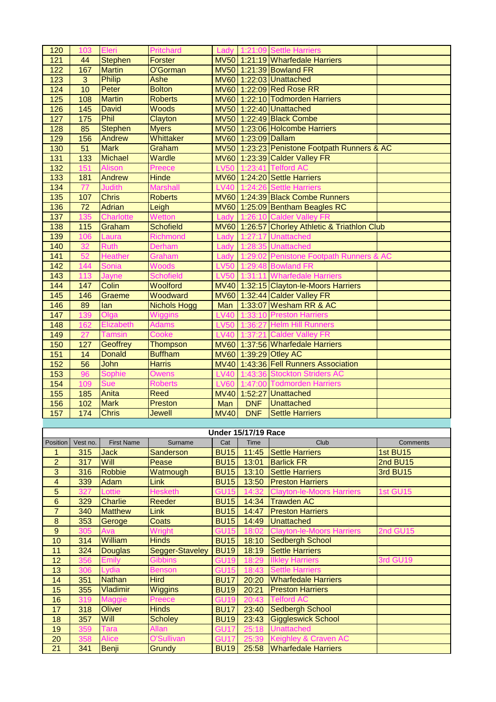| 120                            | 103             | Eleri             | Pritchard           | Lady             |                            | 1:21:09 Settle Harriers                        |                 |
|--------------------------------|-----------------|-------------------|---------------------|------------------|----------------------------|------------------------------------------------|-----------------|
| 121                            | 44              | <b>Stephen</b>    | <b>Forster</b>      |                  |                            | MV50 1:21:19 Wharfedale Harriers               |                 |
| 122                            | 167             | <b>Martin</b>     | O'Gorman            |                  |                            | MV50 1:21:39 Bowland FR                        |                 |
| 123                            | 3               | <b>Philip</b>     | Ashe                |                  |                            | MV60 1:22:03 Unattached                        |                 |
| 124                            | 10              | Peter             | <b>Bolton</b>       |                  |                            | MV60 1:22:09 Red Rose RR                       |                 |
| 125                            | 108             | <b>Martin</b>     | <b>Roberts</b>      |                  |                            | MV60 1:22:10 Todmorden Harriers                |                 |
| 126                            | 145             | <b>David</b>      | Woods               |                  |                            | MV50 1:22:40 Unattached                        |                 |
| 127                            | 175             | Phil              | Clayton             |                  |                            | MV50 1:22:49 Black Combe                       |                 |
|                                | 85              | <b>Stephen</b>    | <b>Myers</b>        |                  |                            | MV50 1:23:06 Holcombe Harriers                 |                 |
| 128                            |                 |                   | Whittaker           |                  |                            |                                                |                 |
| 129                            | 156             | Andrew            |                     |                  | MV60 1:23:09 Dallam        |                                                |                 |
| 130                            | 51              | <b>Mark</b>       | Graham              |                  |                            | MV50 1:23:23 Penistone Footpath Runners & AC   |                 |
| 131                            | 133             | <b>Michael</b>    | Wardle              |                  |                            | MV60 1:23:39 Calder Valley FR                  |                 |
| 132                            | 151             | Alison            | Preece              | LV50             | 41                         | <b>Telford AC</b>                              |                 |
| 133                            | 181             | Andrew            | <b>Hinde</b>        |                  |                            | MV60 1:24:20 Settle Harriers                   |                 |
| 134                            | 77              | <b>Judith</b>     | <b>Marshall</b>     | <b>LV40</b>      | 1:24:26                    | <b>Settle Harriers</b>                         |                 |
| 135                            | 107             | <b>Chris</b>      | <b>Roberts</b>      |                  |                            | MV60 1:24:39 Black Combe Runners               |                 |
| 136                            | $\overline{72}$ | <b>Adrian</b>     | Leigh               |                  |                            | MV60 1:25:09 Bentham Beagles RC                |                 |
| 137                            | 135             | <b>Charlotte</b>  | Wetton              | Lady             |                            | 1:26:10 Calder Valley FR                       |                 |
| 138                            | 115             | Graham            | <b>Schofield</b>    |                  |                            | MV60 1:26:57 Chorley Athletic & Triathlon Club |                 |
| 139                            | 106             | Laura             | <b>Richmond</b>     | Lady             | 1:27:17                    | <b>Unattached</b>                              |                 |
| 140                            | 32              | <b>Ruth</b>       | <b>Derham</b>       | Lady             |                            | 1:28:35 Unattached                             |                 |
| 141                            | 52              | <b>Heather</b>    | Graham              | Lady             | 1:29:02                    | Penistone Footpath Runners & AC                |                 |
| 142                            | 144             | Sonia             | Woods               | <b>LV50</b>      |                            | 1:29:48 Bowland FR                             |                 |
| 143                            | 113             | Jayne             | <b>Schofield</b>    | <b>LV50</b>      |                            | 1:31:11 Wharfedale Harriers                    |                 |
| 144                            | 147             | Colin             | Woolford            |                  |                            | MV40 1:32:15 Clayton-le-Moors Harriers         |                 |
| 145                            | 146             | Graeme            | Woodward            |                  |                            | MV60 1:32:44 Calder Valley FR                  |                 |
| 146                            | 89              | lan               | <b>Nichols Hogg</b> | Man              |                            | 1:33:07 Wesham RR & AC                         |                 |
| 147                            | 139             | Olga              | Wiggins             | <b>LV40</b>      | 1:33:10                    | <b>Preston Harriers</b>                        |                 |
| 148                            | 162             | Elizabeth         | <b>Adams</b>        | <b>LV50</b>      | 1:36:27                    | <b>Helm Hill Runners</b>                       |                 |
| 149                            | 27              | <b>Tamsin</b>     | Cooke               | <b>LV40</b>      | 1:37:21                    | <b>Calder Valley FR</b>                        |                 |
| 150                            | 127             | <b>Geoffrey</b>   | Thompson            |                  |                            | MV60 1:37:56 Wharfedale Harriers               |                 |
| 151                            | 14              | <b>Donald</b>     | <b>Buffham</b>      |                  |                            | MV60 1:39:29 Otley AC                          |                 |
| 152                            | 56              | John              | <b>Harris</b>       |                  |                            | MV40 1:43:36 Fell Runners Association          |                 |
| 153                            | 96              | <b>Sophie</b>     | <b>Owens</b>        | <b>LV40</b>      | 1:43:36                    | <b>Stockton Striders AC</b>                    |                 |
| 154                            | 109             | <b>Sue</b>        | <b>Roberts</b>      | <b>LV60</b>      |                            | 1:47:00 Todmorden Harriers                     |                 |
|                                | 185             | Anita             | Reed                | <b>MV40</b>      | 1:52:27                    | <b>Unattached</b>                              |                 |
| 155                            |                 | <b>Mark</b>       | Preston             |                  | <b>DNF</b>                 | <b>Unattached</b>                              |                 |
| 156                            | 102             | <b>Chris</b>      |                     | Man              |                            | <b>Settle Harriers</b>                         |                 |
| 157                            | 174             |                   | Jewell              | <b>MV40</b>      | <b>DNF</b>                 |                                                |                 |
|                                |                 |                   |                     |                  | <b>Under 15/17/19 Race</b> |                                                |                 |
| Position                       | Vest no.        | <b>First Name</b> | Surname             | Cat              | Time                       | Club                                           | Comments        |
|                                | 315             | <b>Jack</b>       | Sanderson           | <b>BU15</b>      | 11:45                      | <b>Settle Harriers</b>                         | 1st BU15        |
| $\mathbf{1}$<br>$\overline{2}$ | 317             | Will              | Pease               | <b>BU15</b>      | 13:01                      | <b>Barlick FR</b>                              | 2nd BU15        |
|                                |                 | <b>Robbie</b>     |                     | <b>BU15</b>      |                            | <b>Settle Harriers</b>                         | 3rd BU15        |
| $\overline{3}$                 | 316             |                   | Watmough            |                  | 13:10                      |                                                |                 |
| $\overline{\mathbf{4}}$        | 339             | Adam              | Link                | <b>BU15</b>      | 13:50                      | <b>Preston Harriers</b>                        |                 |
| 5                              | 327             | Lottie            | <b>Hesketh</b>      | <b>GU15</b>      | 14:32                      | <b>Clayton-le-Moors Harriers</b>               | 1st GU15        |
| $6\phantom{1}$                 | 329             | <b>Charlie</b>    | Reeder              | <b>BU15</b>      | 14:34                      | <b>Trawden AC</b>                              |                 |
| $\overline{7}$                 | 340             | <b>Matthew</b>    | <b>Link</b>         | <b>BU15</b>      | 14:47                      | <b>Preston Harriers</b>                        |                 |
| $\bf 8$                        | 353             | Geroge            | Coats               | <b>BU15</b>      | 14:49                      | <b>Unattached</b>                              |                 |
| $\boldsymbol{9}$               | 305             | Ava               | Wright              | <b>GU15</b>      | 18:02                      | <b>Clayton-le-Moors Harriers</b>               | <b>2nd GU15</b> |
| 10                             | 314             | William           | <b>Hinds</b>        | <b>BU15</b>      | 18:10                      | Sedbergh School                                |                 |
| 11                             | 324             | <b>Douglas</b>    | Segger-Staveley     | <b>BU19</b>      | 18:19                      | <b>Settle Harriers</b>                         |                 |
| 12                             | 356             | <b>Emily</b>      | <b>Gibbins</b>      | <b>GU19</b>      | 18:29                      | <b>Ilkley Harriers</b>                         | 3rd GU19        |
| 13                             | 306             | Lydia             | <b>Benson</b>       | <b>GU15</b>      | 18:43                      | <b>Settle Harriers</b>                         |                 |
| 14                             | 351             | <b>Nathan</b>     | <b>Hird</b>         | <b>BU17</b>      | 20:20                      | <b>Wharfedale Harriers</b>                     |                 |
| 15                             | 355             | Vladimir          | Wiggins             | <b>BU19</b>      | 20:21                      | <b>Preston Harriers</b>                        |                 |
| 16                             | 319             | <b>Maggie</b>     | Preece              | <b>GU19</b>      | 20:43                      | <b>Telford AC</b>                              |                 |
| 17                             | 318             | Oliver            | <b>Hinds</b>        | <b>BU17</b>      | 23:40                      | Sedbergh School                                |                 |
| 18                             | 357             | Will              | <b>Scholey</b>      | <b>BU19</b>      | 23:43                      | <b>Giggleswick School</b>                      |                 |
| 19                             | 359             | <b>Tara</b>       | Allan               | GU <sub>17</sub> | 25:18                      | <b>Unattached</b>                              |                 |
|                                |                 |                   |                     |                  |                            |                                                |                 |
| 20                             | 358             | <b>Alice</b>      | O'Sullivan          | <b>GU17</b>      | 25:39                      | Keighley & Craven AC                           |                 |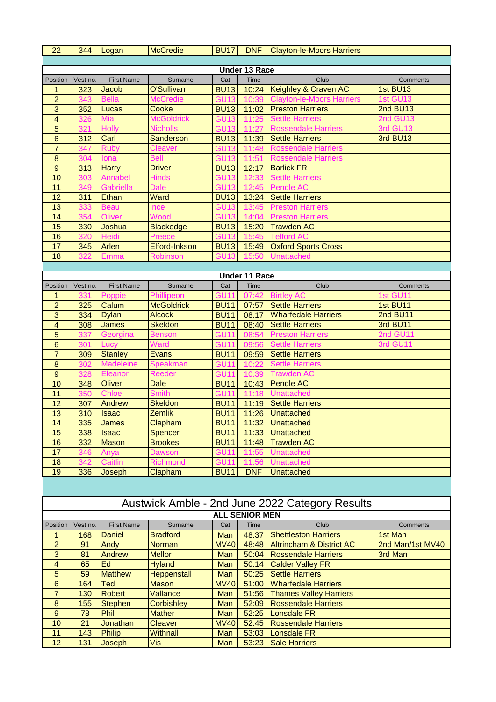| 22                                 | 344        | Logan                   | <b>McCredie</b>              | <b>BU17</b>                |                      | DNF Clayton-le-Moors Harriers                   |          |
|------------------------------------|------------|-------------------------|------------------------------|----------------------------|----------------------|-------------------------------------------------|----------|
|                                    |            |                         |                              |                            |                      |                                                 |          |
|                                    |            |                         |                              |                            | <b>Under 13 Race</b> |                                                 |          |
| Position                           | Vest no.   | <b>First Name</b>       | Surname                      | Cat                        | Time                 | Club                                            | Comments |
| 1                                  | 323        | Jacob                   | O'Sullivan                   | <b>BU13</b>                | 10:24                | Keighley & Craven AC                            | 1st BU13 |
| $\overline{c}$                     | 343        | <b>Bella</b>            | <b>McCredie</b>              | <b>GU13</b>                | 10:39                | <b>Clayton-le-Moors Harriers</b>                | 1st GU13 |
| $\overline{3}$                     | 352        | Lucas                   | Cooke                        | <b>BU13</b>                | 11:02                | <b>Preston Harriers</b>                         | 2nd BU13 |
| $\overline{4}$                     | 326        | Mia                     | <b>McGoldrick</b>            | <b>GU13</b>                | 11:25                | <b>Settle Harriers</b>                          | 2nd GU13 |
| 5                                  | 321        | <b>Holly</b>            | <b>Nicholls</b>              | <b>GU13</b>                | 11:27                | <b>Rossendale Harriers</b>                      | 3rd GU13 |
| $6\phantom{1}6$                    | 312        | Carl                    | Sanderson                    | <b>BU13</b>                | 11:39                | <b>Settle Harriers</b>                          | 3rd BU13 |
| $\overline{7}$                     | 347        | <b>Ruby</b>             | <b>Cleaver</b>               | <b>GU13</b>                | 11:48                | <b>Rossendale Harriers</b>                      |          |
| $\boldsymbol{8}$<br>$\overline{9}$ | 304<br>313 | Iona                    | <b>Bell</b><br><b>Driver</b> | <b>GU13</b><br><b>BU13</b> | 11:51<br>12:17       | <b>Rossendale Harriers</b><br><b>Barlick FR</b> |          |
| 10                                 | 303        | <b>Harry</b><br>Annabel | <b>Hinds</b>                 | <b>GU13</b>                | 12:33                | <b>Settle Harriers</b>                          |          |
| 11                                 | 349        | Gabriella               | <b>Dale</b>                  | <b>GU13</b>                | 12:45                | <b>Pendle AC</b>                                |          |
| 12                                 | 311        | Ethan                   | Ward                         | <b>BU13</b>                | 13:24                | <b>Settle Harriers</b>                          |          |
| 13                                 | 333        | <b>Beau</b>             | Ince                         | <b>GU13</b>                | 13:45                | <b>Preston Harriers</b>                         |          |
| 14                                 | 354        | Oliver                  | Wood                         | <b>GU13</b>                | 14:04                | <b>Preston Harriers</b>                         |          |
| 15                                 | 330        | Joshua                  | <b>Blackedge</b>             | <b>BU13</b>                | 15:20                | <b>Trawden AC</b>                               |          |
| 16                                 | 320        | <b>Heidi</b>            | Preece                       | <b>GU13</b>                | 15:45                | <b>Telford AC</b>                               |          |
| 17                                 | 345        | Arlen                   | Elford-Inkson                | <b>BU13</b>                | 15:49                | <b>Oxford Sports Cross</b>                      |          |
| 18                                 | 322        | Emma                    | <b>Robinson</b>              | <b>GU13</b>                | 15:50                | <b>Unattached</b>                               |          |
|                                    |            |                         |                              |                            |                      |                                                 |          |
|                                    |            |                         |                              |                            | <b>Under 11 Race</b> |                                                 |          |
| Position                           | Vest no.   | <b>First Name</b>       | Surname                      | Cat                        | <b>Time</b>          | Club                                            | Comments |
| 1                                  | 331        | Poppie                  | Phillipeon                   | <b>GU11</b>                | 07:42                | <b>Birtley AC</b>                               | 1st GU11 |
| $\overline{c}$                     | 325        | Calum                   | <b>McGoldrick</b>            | <b>BU11</b>                | 07:57                | <b>Settle Harriers</b>                          | 1st BU11 |
| $\overline{3}$                     | 334        | <b>Dylan</b>            | <b>Alcock</b>                | <b>BU11</b>                | 08:17                | <b>Wharfedale Harriers</b>                      | 2nd BU11 |
| $\overline{4}$                     | 308        | <b>James</b>            | <b>Skeldon</b>               | <b>BU11</b>                | 08:40                | <b>Settle Harriers</b>                          | 3rd BU11 |
| 5                                  | 337        | Georgina                | <b>Benson</b>                | <b>GU11</b>                | 08:54                | <b>Preston Harriers</b>                         | 2nd GU11 |
| $6\phantom{1}6$                    | 301        | Lucy                    | Ward                         | <b>GU11</b>                | 09:56                | <b>Settle Harriers</b>                          | 3rd GU11 |
| $\overline{7}$                     | 309        | <b>Stanley</b>          | <b>Evans</b>                 | <b>BU11</b>                | 09:59                | <b>Settle Harriers</b>                          |          |
| $\bf 8$                            | 302        | <b>Madeleine</b>        | Speakman                     | <b>GU11</b>                | 10:22                | <b>Settle Harriers</b>                          |          |
| $\overline{9}$                     | 328        | Eleanor                 | <b>Reeder</b>                | <b>GU11</b>                | 10:39                | <b>Trawden AC</b>                               |          |
| 10                                 | 348        | Oliver                  | <b>Dale</b>                  | <b>BU11</b>                | 10:43                | <b>Pendle AC</b>                                |          |
| 11                                 | 350        | <b>Chloe</b>            | <b>Smith</b>                 | <b>GU11</b>                | 11:18                | <b>Unattached</b>                               |          |
| 12                                 | 307        | Andrew                  | <b>Skeldon</b>               | <b>BU11</b>                | 11:19                | <b>Settle Harriers</b>                          |          |
| 13                                 | 310        | <b>Isaac</b>            | Zemlik                       | <b>BU11</b>                | 11:26                | Unattached                                      |          |
| 14                                 | 335        | James                   | Clapham                      | <b>BU11</b>                | 11:32                | Unattached                                      |          |
| 15                                 | 338        | <b>Isaac</b>            | Spencer                      | <b>BU11</b>                | 11:33                | <b>Unattached</b>                               |          |
| 16                                 | 332        | <b>Mason</b>            | <b>Brookes</b>               | <b>BU11</b>                | 11:48                | <b>Trawden AC</b>                               |          |
| 17                                 | 346        | Anya                    | <b>Dawson</b>                | <b>GU11</b>                | 11:55                | <b>Unattached</b>                               |          |
| 18                                 | 342        | Caitlin                 | <b>Richmond</b>              | <b>GU11</b>                | 11:56<br><b>DNF</b>  | <b>Unattached</b>                               |          |
|                                    |            |                         |                              |                            |                      |                                                 |          |
| 19                                 | 336        | Joseph                  | Clapham                      | <b>BU11</b>                |                      | <b>Unattached</b>                               |          |
|                                    |            |                         |                              |                            |                      |                                                 |          |
|                                    |            |                         |                              |                            |                      | Austwick Amble - 2nd June 2022 Category Results |          |

## Austwick Amble - 2nd June 2022 Category Results

|                | <b>ALL SENIOR MEN</b> |                   |                    |             |       |                                     |                  |  |  |  |  |  |
|----------------|-----------------------|-------------------|--------------------|-------------|-------|-------------------------------------|------------------|--|--|--|--|--|
| Position       | Vest no.              | <b>First Name</b> | Surname            | Cat         | Time  | Club                                | Comments         |  |  |  |  |  |
|                | 168                   | <b>Daniel</b>     | <b>Bradford</b>    | Man         | 48:37 | <b>Shettleston Harriers</b>         | 1st Man          |  |  |  |  |  |
| $\overline{2}$ | 91                    | Andy              | <b>Norman</b>      | <b>MV40</b> | 48:48 | <b>Altrincham &amp; District AC</b> | 2nd Man/1st MV40 |  |  |  |  |  |
| 3              | 81                    | Andrew            | <b>Mellor</b>      | Man         | 50:04 | <b>Rossendale Harriers</b>          | 3rd Man          |  |  |  |  |  |
| 4              | 65                    | Ed                | <b>Hyland</b>      | <b>Man</b>  | 50:14 | <b>Calder Valley FR</b>             |                  |  |  |  |  |  |
| 5              | 59                    | <b>Matthew</b>    | <b>Heppenstall</b> | <b>Man</b>  | 50:25 | <b>Settle Harriers</b>              |                  |  |  |  |  |  |
| 6              | 164                   | Ted               | <b>Mason</b>       | <b>MV40</b> | 51:00 | <b>Wharfedale Harriers</b>          |                  |  |  |  |  |  |
| $\overline{7}$ | 130                   | <b>Robert</b>     | Vallance           | <b>Man</b>  | 51:56 | <b>Thames Valley Harriers</b>       |                  |  |  |  |  |  |
| 8              | 155                   | <b>Stephen</b>    | <b>Corbishley</b>  | <b>Man</b>  | 52:09 | <b>Rossendale Harriers</b>          |                  |  |  |  |  |  |
| 9              | 78                    | <b>Phil</b>       | <b>Mather</b>      | <b>Man</b>  | 52:25 | Lonsdale FR                         |                  |  |  |  |  |  |
| 10             | 21                    | <b>Jonathan</b>   | <b>Cleaver</b>     | <b>MV40</b> | 52:45 | <b>Rossendale Harriers</b>          |                  |  |  |  |  |  |
| 11             | 143                   | <b>Philip</b>     | Withnall           | <b>Man</b>  | 53:03 | Lonsdale FR                         |                  |  |  |  |  |  |
| 12             | 131                   | Joseph            | <b>Vis</b>         | Man         | 53:23 | <b>Sale Harriers</b>                |                  |  |  |  |  |  |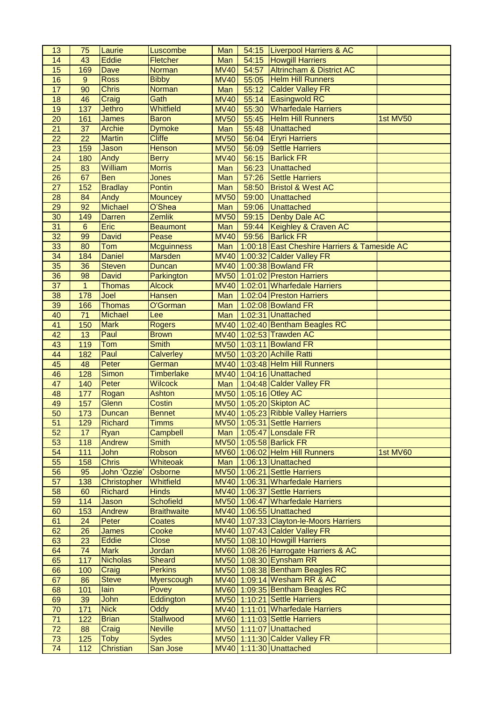| 13              | 75              | Laurie          | Luscombe           | Man         |       | 54:15   Liverpool Harriers & AC              |          |
|-----------------|-----------------|-----------------|--------------------|-------------|-------|----------------------------------------------|----------|
| 14              | 43              | <b>Eddie</b>    | Fletcher           | Man         |       | 54:15 Howgill Harriers                       |          |
| 15              | 169             | Dave            | Norman             | <b>MV40</b> | 54:57 | <b>Altrincham &amp; District AC</b>          |          |
| 16              | 9               | <b>Ross</b>     | <b>Bibby</b>       | <b>MV40</b> | 55:05 | <b>Helm Hill Runners</b>                     |          |
| $\overline{17}$ | $\overline{90}$ | <b>Chris</b>    | <b>Norman</b>      | Man         | 55:12 | <b>Calder Valley FR</b>                      |          |
| 18              | 46              | Craig           | Gath               | <b>MV40</b> | 55:14 | <b>Easingwold RC</b>                         |          |
| 19              | 137             | <b>Jethro</b>   | Whitfield          | <b>MV40</b> | 55:30 | <b>Wharfedale Harriers</b>                   |          |
| 20              | 161             | James           | <b>Baron</b>       | <b>MV50</b> | 55:45 | <b>Helm Hill Runners</b>                     | 1st MV50 |
| 21              | 37              | <b>Archie</b>   | <b>Dymoke</b>      | Man         | 55:48 | <b>Unattached</b>                            |          |
| $\overline{22}$ | $\overline{22}$ | <b>Martin</b>   | <b>Cliffe</b>      | <b>MV50</b> | 56:04 | <b>Eryri Harriers</b>                        |          |
| 23              | 159             | Jason           | <b>Henson</b>      | <b>MV50</b> | 56:09 | <b>Settle Harriers</b>                       |          |
| $\overline{24}$ | 180             | Andy            | <b>Berry</b>       | <b>MV40</b> | 56:15 | <b>Barlick FR</b>                            |          |
| 25              | 83              | William         | <b>Morris</b>      | Man         | 56:23 | <b>Unattached</b>                            |          |
| 26              | 67              | <b>Ben</b>      | <b>Jones</b>       | Man         | 57:26 | <b>Settle Harriers</b>                       |          |
| 27              | 152             | <b>Bradlay</b>  | <b>Pontin</b>      | Man         | 58:50 | <b>Bristol &amp; West AC</b>                 |          |
| 28              | 84              | Andy            | <b>Mouncey</b>     | <b>MV50</b> | 59:00 | <b>Unattached</b>                            |          |
| 29              | 92              | <b>Michael</b>  | O'Shea             | Man         | 59:06 | <b>Unattached</b>                            |          |
| 30              | 149             | <b>Darren</b>   | <b>Zemlik</b>      | <b>MV50</b> | 59:15 | <b>Denby Dale AC</b>                         |          |
| 31              | 6               | Eric            | <b>Beaumont</b>    | Man         | 59:44 | Keighley & Craven AC                         |          |
| 32              | 99              | <b>David</b>    | Pease              | <b>MV40</b> | 59:56 | <b>Barlick FR</b>                            |          |
| 33              | 80              | Tom             | <b>Mcguinness</b>  | Man         |       | 1:00:18 East Cheshire Harriers & Tameside AC |          |
| 34              | 184             | <b>Daniel</b>   | <b>Marsden</b>     |             |       | MV40 1:00:32 Calder Valley FR                |          |
| 35              | 36              | <b>Steven</b>   | <b>Duncan</b>      |             |       | MV40 1:00:38 Bowland FR                      |          |
| 36              | 98              | <b>David</b>    | Parkington         |             |       | MV50 1:01:02 Preston Harriers                |          |
| 37              | $\mathbf{1}$    | <b>Thomas</b>   | <b>Alcock</b>      |             |       | MV40 1:02:01 Wharfedale Harriers             |          |
| 38              | 178             | Joel            | <b>Hansen</b>      | Man         |       | 1:02:04 Preston Harriers                     |          |
| 39              | 166             | <b>Thomas</b>   | O'Gorman           | Man         |       | 1:02:08 Bowland FR                           |          |
| 40              | 71              | <b>Michael</b>  | Lee                | Man         |       | 1:02:31 Unattached                           |          |
| 41              | 150             | <b>Mark</b>     | <b>Rogers</b>      |             |       | MV40 1:02:40 Bentham Beagles RC              |          |
| 42              | 13              | Paul            | <b>Brown</b>       |             |       | MV40 1:02:53 Trawden AC                      |          |
| 43              | 119             | Tom             | <b>Smith</b>       |             |       | MV50 1:03:11 Bowland FR                      |          |
| 44              | 182             | Paul            | <b>Calverley</b>   |             |       | MV50 1:03:20 Achille Ratti                   |          |
| 45              | 48              | Peter           | German             |             |       | MV40 1:03:48 Helm Hill Runners               |          |
| 46              | 128             | <b>Simon</b>    | <b>Timberlake</b>  |             |       | MV40 1:04:16 Unattached                      |          |
| 47              | 140             | Peter           | Wilcock            | Man         |       | 1:04:48 Calder Valley FR                     |          |
| 48              | 177             | Rogan           | <b>Ashton</b>      |             |       | MV50 1:05:16 Otley AC                        |          |
| 49              | 157             | Glenn           | Costin             |             |       | MV50 1:05:20 Skipton AC                      |          |
| 50              | 173             | Duncan          | <b>Bennet</b>      |             |       | MV40 1:05:23 Ribble Valley Harriers          |          |
| 51              | 129             | Richard         | <b>Timms</b>       |             |       | MV50 1:05:31 Settle Harriers                 |          |
| 52              | 17              | Ryan            | Campbell           |             |       | Man 1:05:47 Lonsdale FR                      |          |
| 53              | 118             | Andrew          | <b>Smith</b>       |             |       | MV50 1:05:58 Barlick FR                      |          |
| 54              | 111             | <b>John</b>     | Robson             |             |       | MV60 1:06:02 Helm Hill Runners               | 1st MV60 |
| 55              | 158             | <b>Chris</b>    | Whiteoak           |             |       | Man 1:06:13 Unattached                       |          |
| 56              | 95              | John 'Ozzie'    | Osborne            |             |       | MV50 1:06:21 Settle Harriers                 |          |
| 57              | 138             | Christopher     | Whitfield          |             |       | MV40 1:06:31 Wharfedale Harriers             |          |
| 58              | 60              | <b>Richard</b>  | <b>Hinds</b>       |             |       | MV40 1:06:37 Settle Harriers                 |          |
| 59              | 114             | Jason           | <b>Schofield</b>   |             |       | MV50 1:06:47 Wharfedale Harriers             |          |
| 60              | 153             | Andrew          | <b>Braithwaite</b> |             |       | MV40 1:06:55 Unattached                      |          |
| 61              | 24              | Peter           | Coates             |             |       | MV40 1:07:33 Clayton-le-Moors Harriers       |          |
| 62              | 26              | <b>James</b>    | Cooke              |             |       | MV40 1:07:43 Calder Valley FR                |          |
| 63              | 23              | <b>Eddie</b>    | <b>Close</b>       |             |       | MV50 1:08:10 Howgill Harriers                |          |
| 64              | 74              | <b>Mark</b>     | Jordan             |             |       | MV60 1:08:26 Harrogate Harriers & AC         |          |
| 65              | 117             | <b>Nicholas</b> | <b>Sheard</b>      |             |       | MV50 1:08:30 Eynsham RR                      |          |
| 66              | 100             | Craig           | <b>Perkins</b>     |             |       | MV50 1:08:38 Bentham Beagles RC              |          |
| 67              | 86              | <b>Steve</b>    | <b>Myerscough</b>  |             |       | MV40 1:09:14 Wesham RR & AC                  |          |
| 68              | 101             | lain            | Povey              |             |       | MV60 1:09:35 Bentham Beagles RC              |          |
| 69              | 39              | John            | Eddington          |             |       | MV50 1:10:21 Settle Harriers                 |          |
| 70              | 171             | <b>Nick</b>     | Oddy               |             |       | MV40 1:11:01 Wharfedale Harriers             |          |
| 71              | 122             | <b>Brian</b>    | <b>Stallwood</b>   |             |       | MV60 1:11:03 Settle Harriers                 |          |
| 72              | 88              | Craig           | <b>Neville</b>     |             |       | MV50 1:11:07 Unattached                      |          |
| 73              | 125             | <b>Toby</b>     | <b>Sydes</b>       |             |       | MV50 1:11:30 Calder Valley FR                |          |
| 74              | $112$           | Christian       | San Jose           |             |       | MV40 1:11:30 Unattached                      |          |
|                 |                 |                 |                    |             |       |                                              |          |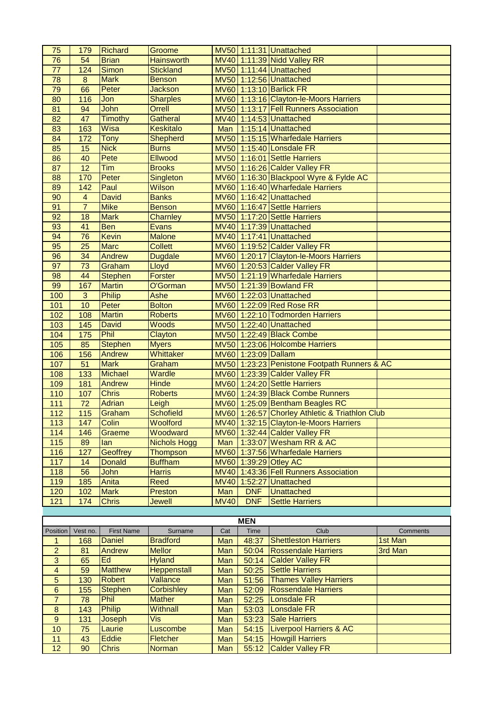| 75              | 179             | <b>Richard</b>        | Groome              |             |                     | MV50 1:11:31 Unattached                           |                 |
|-----------------|-----------------|-----------------------|---------------------|-------------|---------------------|---------------------------------------------------|-----------------|
| $\overline{76}$ | 54              | <b>Brian</b>          | <b>Hainsworth</b>   |             |                     | MV40 1:11:39 Nidd Valley RR                       |                 |
| $\overline{77}$ | 124             | <b>Simon</b>          | <b>Stickland</b>    |             |                     | MV50 1:11:44 Unattached                           |                 |
| 78              | $\bf 8$         | <b>Mark</b>           | <b>Benson</b>       |             |                     | MV50 1:12:56 Unattached                           |                 |
| 79              | 66              | Peter                 | <b>Jackson</b>      |             |                     | MV60 1:13:10 Barlick FR                           |                 |
| 80              | 116             | Jon                   | <b>Sharples</b>     |             |                     | MV60 1:13:16 Clayton-le-Moors Harriers            |                 |
| $\overline{81}$ | 94              | John                  | Orrell              |             |                     | MV50 1:13:17 Fell Runners Association             |                 |
| 82              | 47              | <b>Timothy</b>        | <b>Gatheral</b>     |             |                     | MV40 1:14:53 Unattached                           |                 |
| 83              | 163             | Wisa                  | <b>Keskitalo</b>    | Man         |                     | 1:15:14 Unattached                                |                 |
| 84              | 172             | Tony                  | <b>Shepherd</b>     |             |                     | MV50 1:15:15 Wharfedale Harriers                  |                 |
| 85              | 15              | <b>Nick</b>           | <b>Burns</b>        |             |                     | MV50 1:15:40 Lonsdale FR                          |                 |
| 86              | 40              | Pete                  | <b>Ellwood</b>      |             |                     | MV50 1:16:01 Settle Harriers                      |                 |
| 87              | $\overline{12}$ | Tim                   | <b>Brooks</b>       |             |                     | MV50 1:16:26 Calder Valley FR                     |                 |
| 88              | 170             | Peter                 | Singleton           |             |                     | MV60 1:16:30 Blackpool Wyre & Fylde AC            |                 |
| 89              | 142             | Paul                  | Wilson              |             |                     | MV60 1:16:40 Wharfedale Harriers                  |                 |
| 90              | $\overline{4}$  | <b>David</b>          | <b>Banks</b>        |             |                     | MV60 1:16:42 Unattached                           |                 |
| 91              | $\overline{7}$  | <b>Mike</b>           | <b>Benson</b>       |             |                     | MV60 1:16:47 Settle Harriers                      |                 |
| 92              | 18              | <b>Mark</b>           | Charnley            |             |                     | MV50 1:17:20 Settle Harriers                      |                 |
| 93              | 41              | <b>Ben</b>            | <b>Evans</b>        |             |                     | MV40 1:17:39 Unattached                           |                 |
| 94              | 76              | <b>Kevin</b>          | <b>Malone</b>       |             |                     | MV40 1:17:41 Unattached                           |                 |
| 95              | 25              | <b>Marc</b>           | <b>Collett</b>      |             |                     | MV60 1:19:52 Calder Valley FR                     |                 |
| 96              | 34              | Andrew                | <b>Dugdale</b>      |             |                     | MV60 1:20:17 Clayton-le-Moors Harriers            |                 |
| 97              | 73              | Graham                | Lloyd               |             |                     | MV60 1:20:53 Calder Valley FR                     |                 |
| 98              | 44              | <b>Stephen</b>        | <b>Forster</b>      |             |                     | MV50 1:21:19 Wharfedale Harriers                  |                 |
| 99              | 167             | <b>Martin</b>         | O'Gorman            |             |                     | MV50 1:21:39 Bowland FR                           |                 |
| 100             | $\mathbf{3}$    | <b>Philip</b>         | Ashe                |             |                     | MV60 1:22:03 Unattached                           |                 |
| 101             | 10              | Peter                 | <b>Bolton</b>       |             |                     | MV60 1:22:09 Red Rose RR                          |                 |
| 102             | 108             | <b>Martin</b>         | <b>Roberts</b>      |             |                     | MV60 1:22:10 Todmorden Harriers                   |                 |
| 103             | 145             | <b>David</b>          | Woods               |             |                     | MV50 1:22:40 Unattached                           |                 |
|                 |                 | Phil                  | Clayton             |             |                     | MV50 1:22:49 Black Combe                          |                 |
| 104             | 175<br>85       | <b>Stephen</b>        | <b>Myers</b>        |             |                     | MV50 1:23:06 Holcombe Harriers                    |                 |
| 105<br>106      | 156             | Andrew                | Whittaker           |             | MV60 1:23:09 Dallam |                                                   |                 |
|                 | 51              | <b>Mark</b>           | Graham              |             |                     | MV50 1:23:23 Penistone Footpath Runners & AC      |                 |
| 107<br>108      | 133             | <b>Michael</b>        | Wardle              |             |                     | MV60 1:23:39 Calder Valley FR                     |                 |
| 109             | 181             | <b>Andrew</b>         | <b>Hinde</b>        |             |                     | MV60 1:24:20 Settle Harriers                      |                 |
| 110             | 107             | <b>Chris</b>          | <b>Roberts</b>      |             |                     | MV60 1:24:39 Black Combe Runners                  |                 |
| 111             | 72              | <b>Adrian</b>         | Leigh               |             |                     | MV60 1:25:09 Bentham Beagles RC                   |                 |
| 112             | 115             | Graham                | <b>Schofield</b>    |             |                     | MV60 1:26:57 Chorley Athletic & Triathlon Club    |                 |
| 113             | 147             | Colin                 | Woolford            |             |                     | MV40 1:32:15 Clayton-le-Moors Harriers            |                 |
| 114             | 146             | Graeme                | Woodward            |             |                     | MV60 1:32:44 Calder Valley FR                     |                 |
| 115             | 89              | lan                   | <b>Nichols Hogg</b> |             |                     | Man   1:33:07 Wesham RR & AC                      |                 |
| 116             | 127             | <b>Geoffrey</b>       | <b>Thompson</b>     |             |                     | MV60 1:37:56 Wharfedale Harriers                  |                 |
| 117             | 14              | <b>Donald</b>         | <b>Buffham</b>      |             |                     | MV60 1:39:29 Otley AC                             |                 |
| 118             | 56              | John                  | <b>Harris</b>       |             |                     | MV40 1:43:36 Fell Runners Association             |                 |
| 119             | 185             | Anita                 | Reed                | <b>MV40</b> | 1:52:27             | <b>Unattached</b>                                 |                 |
| 120             | 102             | <b>Mark</b>           | Preston             | Man         | <b>DNF</b>          | <b>Unattached</b>                                 |                 |
| 121             |                 |                       |                     |             |                     |                                                   |                 |
|                 |                 |                       |                     |             |                     |                                                   |                 |
|                 | 174             | <b>Chris</b>          | Jewell              | <b>MV40</b> | <b>DNF</b>          | <b>Settle Harriers</b>                            |                 |
|                 |                 |                       |                     |             |                     |                                                   |                 |
|                 |                 |                       |                     |             | <b>MEN</b>          |                                                   |                 |
| Position        | Vest no.        | <b>First Name</b>     | Surname             | Cat         | Time                | Club                                              | <b>Comments</b> |
| 1               | 168             | <b>Daniel</b>         | <b>Bradford</b>     | Man         | 48:37               | <b>Shettleston Harriers</b>                       | 1st Man         |
| $\overline{2}$  | 81              | Andrew                | <b>Mellor</b>       | Man         | 50:04               | <b>Rossendale Harriers</b>                        | 3rd Man         |
| $\overline{3}$  | 65              | Ed                    | <b>Hyland</b>       | Man         | 50:14               | <b>Calder Valley FR</b>                           |                 |
| $\overline{4}$  | 59              | <b>Matthew</b>        | <b>Heppenstall</b>  | Man         | 50:25               | <b>Settle Harriers</b>                            |                 |
| $\sqrt{5}$      | 130             | <b>Robert</b>         | Vallance            | Man         | 51:56               | <b>Thames Valley Harriers</b>                     |                 |
| $\overline{6}$  | 155             | <b>Stephen</b>        | <b>Corbishley</b>   | Man         | 52:09               | <b>Rossendale Harriers</b>                        |                 |
| $\overline{7}$  | 78              | Phil                  | <b>Mather</b>       | Man         | 52:25               | <b>Lonsdale FR</b>                                |                 |
| $\bf 8$         | 143             | <b>Philip</b>         | Withnall            | Man         | 53:03               | <b>Lonsdale FR</b>                                |                 |
| $\overline{9}$  | 131             | Joseph                | Vis                 | Man         | 53:23               | <b>Sale Harriers</b>                              |                 |
| 10              | 75              | Laurie                | Luscombe            | Man         | 54:15               | <b>Liverpool Harriers &amp; AC</b>                |                 |
| 11<br>12        | 43<br>90        | Eddie<br><b>Chris</b> | Fletcher<br>Norman  | Man<br>Man  | 54:15               | <b>Howgill Harriers</b><br>55:12 Calder Valley FR |                 |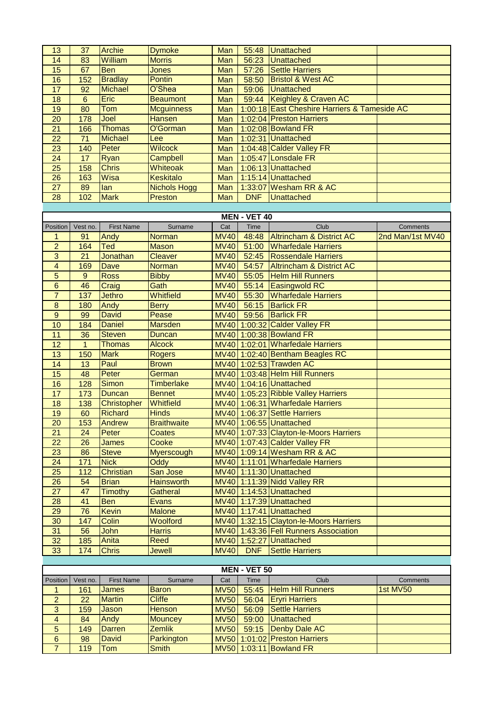| 13                      | 37             | <b>Archie</b>     | <b>Dymoke</b>                  | Man         |                     | 55:48 Unattached                             |                  |
|-------------------------|----------------|-------------------|--------------------------------|-------------|---------------------|----------------------------------------------|------------------|
| 14                      | 83             | William           | <b>Morris</b>                  | Man         | 56:23               | <b>Unattached</b>                            |                  |
| 15                      | 67             | <b>Ben</b>        | <b>Jones</b>                   | Man         | 57:26               | <b>Settle Harriers</b>                       |                  |
| 16                      | 152            | <b>Bradlay</b>    | <b>Pontin</b>                  | Man         | 58:50               | <b>Bristol &amp; West AC</b>                 |                  |
| 17                      | 92             | <b>Michael</b>    | O'Shea                         | Man         | 59:06               | Unattached                                   |                  |
| 18                      | $6\phantom{1}$ | Eric              | <b>Beaumont</b>                | Man         |                     | 59:44 Keighley & Craven AC                   |                  |
| 19                      | 80             | Tom               | <b>Mcguinness</b>              | Man         |                     | 1:00:18 East Cheshire Harriers & Tameside AC |                  |
| $\overline{20}$         | 178            | Joel              | <b>Hansen</b>                  | Man         |                     | 1:02:04 Preston Harriers                     |                  |
| $\overline{21}$         | 166            | <b>Thomas</b>     | O'Gorman                       | Man         |                     | 1:02:08 Bowland FR                           |                  |
| 22                      | 71             | <b>Michael</b>    | Lee                            | Man         |                     | 1:02:31 Unattached                           |                  |
| 23                      | 140            | Peter             | <b>Wilcock</b>                 | Man         |                     | 1:04:48 Calder Valley FR                     |                  |
| 24                      | 17             | Ryan              | Campbell                       | Man         |                     | 1:05:47 Lonsdale FR                          |                  |
| 25                      | 158            | <b>Chris</b>      | Whiteoak                       | Man         |                     | 1:06:13 Unattached                           |                  |
| 26                      | 163            | Wisa              | <b>Keskitalo</b>               | Man         |                     | 1:15:14 Unattached                           |                  |
| $\overline{27}$         | 89             | lan               | <b>Nichols Hogg</b>            | Man         |                     | 1:33:07 Wesham RR & AC                       |                  |
| 28                      | 102            | <b>Mark</b>       | Preston                        | Man         | <b>DNF</b>          | Unattached                                   |                  |
|                         |                |                   |                                |             |                     |                                              |                  |
|                         |                |                   |                                |             | <b>MEN - VET 40</b> |                                              |                  |
| Position                | Vest no.       | <b>First Name</b> | Surname                        | Cat         | Time                | Club                                         | Comments         |
| $\mathbf{1}$            | 91             | Andy              | <b>Norman</b>                  | <b>MV40</b> | 48:48               | <b>Altrincham &amp; District AC</b>          | 2nd Man/1st MV40 |
| $\overline{2}$          | 164            | Ted               |                                | <b>MV40</b> | 51:00               | <b>Wharfedale Harriers</b>                   |                  |
|                         |                | Jonathan          | <b>Mason</b><br><b>Cleaver</b> |             | 52:45               |                                              |                  |
| 3                       | 21             |                   |                                | <b>MV40</b> |                     | <b>Rossendale Harriers</b>                   |                  |
| $\overline{\mathbf{4}}$ | 169            | Dave              | <b>Norman</b>                  | <b>MV40</b> | 54:57               | <b>Altrincham &amp; District AC</b>          |                  |
| $\overline{5}$          | $9\,$          | <b>Ross</b>       | <b>Bibby</b>                   | <b>MV40</b> | 55:05               | <b>Helm Hill Runners</b>                     |                  |
| 6                       | 46             | Craig             | Gath                           | <b>MV40</b> | 55:14               | <b>Easingwold RC</b>                         |                  |
| $\overline{7}$          | 137            | <b>Jethro</b>     | Whitfield                      | <b>MV40</b> | 55:30               | <b>Wharfedale Harriers</b>                   |                  |
| $\bf 8$                 | 180            | Andy              | <b>Berry</b>                   | <b>MV40</b> | 56:15               | <b>Barlick FR</b>                            |                  |
| $\overline{9}$          | 99             | <b>David</b>      | Pease                          | <b>MV40</b> | 59:56               | <b>Barlick FR</b>                            |                  |
| 10                      | 184            | <b>Daniel</b>     | <b>Marsden</b>                 |             |                     | MV40 1:00:32 Calder Valley FR                |                  |
| 11                      | 36             | <b>Steven</b>     | <b>Duncan</b>                  |             |                     | MV40 1:00:38 Bowland FR                      |                  |
| 12                      | $\mathbf{1}$   | <b>Thomas</b>     | <b>Alcock</b>                  |             |                     | MV40 1:02:01 Wharfedale Harriers             |                  |
| 13                      | 150            | <b>Mark</b>       | <b>Rogers</b>                  |             |                     | MV40 1:02:40 Bentham Beagles RC              |                  |
| 14                      | 13             | Paul              | <b>Brown</b>                   |             |                     | MV40 1:02:53 Trawden AC                      |                  |
| $\overline{15}$         | 48             | Peter             | German                         |             |                     | MV40 1:03:48 Helm Hill Runners               |                  |
| 16                      | 128            | <b>Simon</b>      | <b>Timberlake</b>              |             |                     | MV40 1:04:16 Unattached                      |                  |
| 17                      | 173            | <b>Duncan</b>     | <b>Bennet</b>                  |             |                     | MV40 1:05:23 Ribble Valley Harriers          |                  |
| 18                      | 138            | Christopher       | <b>Whitfield</b>               |             |                     | MV40 1:06:31 Wharfedale Harriers             |                  |
| 19                      | 60             | <b>Richard</b>    | <b>Hinds</b>                   |             |                     | MV40 1:06:37 Settle Harriers                 |                  |
| 20                      | 153            | Andrew            | <b>Braithwaite</b>             |             |                     | MV40 1:06:55 Unattached                      |                  |
| $\overline{21}$         | 24             | Peter             | Coates                         |             |                     | MV40 1:07:33 Clayton-le-Moors Harriers       |                  |
| 22                      | 26             | James             | Cooke                          |             |                     | MV40 1:07:43 Calder Valley FR                |                  |
| 23                      | 86             | <b>Steve</b>      | <b>Myerscough</b>              |             |                     | MV40 1:09:14 Wesham RR & AC                  |                  |
| 24                      | 171            | <b>Nick</b>       | <b>Oddy</b>                    |             |                     | MV40 1:11:01 Wharfedale Harriers             |                  |
| 25                      | 112            | <b>Christian</b>  | San Jose                       |             |                     | MV40 1:11:30 Unattached                      |                  |
| 26                      | 54             | <b>Brian</b>      | <b>Hainsworth</b>              |             |                     | MV40 1:11:39 Nidd Valley RR                  |                  |
| 27                      | 47             | <b>Timothy</b>    | <b>Gatheral</b>                |             |                     | MV40 1:14:53 Unattached                      |                  |
| 28                      | 41             | <b>Ben</b>        | <b>Evans</b>                   |             |                     | MV40 1:17:39 Unattached                      |                  |
| 29                      | 76             | <b>Kevin</b>      | <b>Malone</b>                  |             |                     | MV40 1:17:41 Unattached                      |                  |
| 30                      | 147            | Colin             | Woolford                       |             |                     | MV40 1:32:15 Clayton-le-Moors Harriers       |                  |
| 31                      | 56             | John              | <b>Harris</b>                  |             |                     | MV40 1:43:36 Fell Runners Association        |                  |
| 32                      | 185            | Anita             | Reed                           |             |                     | MV40 1:52:27 Unattached                      |                  |
| 33                      | 174            | <b>Chris</b>      | <b>Jewell</b>                  | <b>MV40</b> | <b>DNF</b>          | Settle Harriers                              |                  |
|                         |                |                   |                                |             |                     |                                              |                  |
|                         |                |                   |                                |             | <b>MEN - VET 50</b> |                                              |                  |
| Position                | Vest no.       | <b>First Name</b> | Surname                        | Cat         | Time                | Club                                         | Comments         |
| 1                       | 161            | <b>James</b>      | <b>Baron</b>                   | <b>MV50</b> | 55:45               | <b>Helm Hill Runners</b>                     | 1st MV50         |
| $\overline{\mathbf{c}}$ | 22             | <b>Martin</b>     | <b>Cliffe</b>                  | <b>MV50</b> | 56:04               | <b>Eryri Harriers</b>                        |                  |
| $\overline{3}$          | 159            | Jason             | <b>Henson</b>                  | <b>MV50</b> | 56:09               | <b>Settle Harriers</b>                       |                  |
| $\overline{4}$          | 84             | Andy              | <b>Mouncey</b>                 | <b>MV50</b> | 59:00               | <b>Unattached</b>                            |                  |
| 5                       | 149            | <b>Darren</b>     | Zemlik                         | <b>MV50</b> | 59:15               | Denby Dale AC                                |                  |
| $\overline{6}$          | 98             | <b>David</b>      | Parkington                     | <b>MV50</b> |                     | 1:01:02 Preston Harriers                     |                  |
| $\overline{7}$          | 119            | Tom               | <b>Smith</b>                   | <b>MV50</b> |                     | 1:03:11 Bowland FR                           |                  |
|                         |                |                   |                                |             |                     |                                              |                  |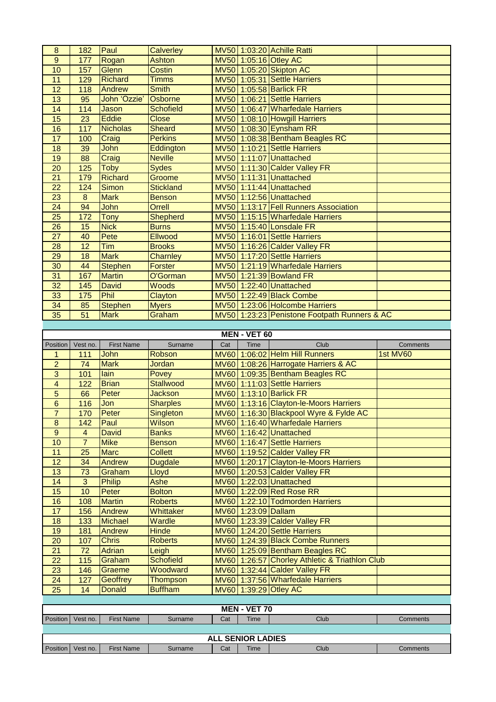| $\bf 8$                 | 182            | Paul              | <b>Calverley</b> |     |                                  | MV50 1:03:20 Achille Ratti                     |          |
|-------------------------|----------------|-------------------|------------------|-----|----------------------------------|------------------------------------------------|----------|
| $9\,$                   | 177            | Rogan             | <b>Ashton</b>    |     |                                  | MV50 1:05:16 Otley AC                          |          |
| 10                      | 157            | Glenn             | <b>Costin</b>    |     |                                  | MV50 1:05:20 Skipton AC                        |          |
| 11                      | 129            | Richard           | <b>Timms</b>     |     |                                  | MV50 1:05:31 Settle Harriers                   |          |
| $\overline{12}$         | 118            | Andrew            | <b>Smith</b>     |     |                                  | MV50 1:05:58 Barlick FR                        |          |
| 13                      | 95             | John 'Ozzie'      | Osborne          |     |                                  | MV50 1:06:21 Settle Harriers                   |          |
| 14                      | 114            | Jason             | <b>Schofield</b> |     |                                  | MV50 1:06:47 Wharfedale Harriers               |          |
| 15                      | 23             | <b>Eddie</b>      | <b>Close</b>     |     |                                  | MV50 1:08:10 Howgill Harriers                  |          |
| 16                      | 117            | <b>Nicholas</b>   | <b>Sheard</b>    |     |                                  | MV50 1:08:30 Eynsham RR                        |          |
| $\overline{17}$         | 100            | Craig             | <b>Perkins</b>   |     |                                  | MV50 1:08:38 Bentham Beagles RC                |          |
| 18                      | 39             | John              | Eddington        |     |                                  | MV50 1:10:21 Settle Harriers                   |          |
| 19                      | 88             | Craig             | <b>Neville</b>   |     |                                  | MV50 1:11:07 Unattached                        |          |
| 20                      | 125            | <b>Toby</b>       | <b>Sydes</b>     |     |                                  | MV50 1:11:30 Calder Valley FR                  |          |
| $\overline{21}$         | 179            | <b>Richard</b>    | Groome           |     |                                  | MV50 1:11:31 Unattached                        |          |
| 22                      | 124            | <b>Simon</b>      | <b>Stickland</b> |     |                                  | MV50 1:11:44 Unattached                        |          |
| 23                      | $\bf 8$        | <b>Mark</b>       | <b>Benson</b>    |     |                                  | MV50 1:12:56 Unattached                        |          |
|                         |                |                   |                  |     |                                  | MV50 1:13:17 Fell Runners Association          |          |
| 24                      | 94             | John              | Orrell           |     |                                  |                                                |          |
| 25                      | 172            | <b>Tony</b>       | <b>Shepherd</b>  |     |                                  | MV50 1:15:15 Wharfedale Harriers               |          |
| 26                      | 15             | <b>Nick</b>       | <b>Burns</b>     |     |                                  | MV50 1:15:40 Lonsdale FR                       |          |
| 27                      | 40             | Pete              | Ellwood          |     |                                  | MV50 1:16:01 Settle Harriers                   |          |
| 28                      | 12             | <b>Tim</b>        | <b>Brooks</b>    |     |                                  | MV50 1:16:26 Calder Valley FR                  |          |
| 29                      | 18             | <b>Mark</b>       | Charnley         |     |                                  | MV50 1:17:20 Settle Harriers                   |          |
| 30                      | 44             | <b>Stephen</b>    | <b>Forster</b>   |     |                                  | MV50 1:21:19 Wharfedale Harriers               |          |
| 31                      | 167            | <b>Martin</b>     | O'Gorman         |     |                                  | MV50 1:21:39 Bowland FR                        |          |
| 32                      | 145            | <b>David</b>      | Woods            |     |                                  | MV50 1:22:40 Unattached                        |          |
| 33                      | 175            | Phil              | Clayton          |     |                                  | MV50 1:22:49 Black Combe                       |          |
| 34                      | 85             | <b>Stephen</b>    | <b>Myers</b>     |     |                                  | MV50 1:23:06 Holcombe Harriers                 |          |
| 35                      | 51             | <b>Mark</b>       | Graham           |     |                                  | MV50 1:23:23 Penistone Footpath Runners & AC   |          |
|                         |                |                   |                  |     |                                  |                                                |          |
|                         |                |                   |                  |     | <b>MEN - VET 60</b>              |                                                |          |
| Position                | Vest no.       | <b>First Name</b> | Surname          | Cat | Time                             | Club                                           | Comments |
|                         |                |                   |                  |     |                                  |                                                |          |
| 1                       | 111            | John              | Robson           |     |                                  | MV60 1:06:02 Helm Hill Runners                 | 1st MV60 |
| $\overline{2}$          | 74             | <b>Mark</b>       | Jordan           |     |                                  | MV60 1:08:26 Harrogate Harriers & AC           |          |
| 3                       | 101            | lain              | Povey            |     |                                  | MV60 1:09:35 Bentham Beagles RC                |          |
| $\overline{\mathbf{4}}$ | 122            | <b>Brian</b>      | <b>Stallwood</b> |     |                                  | MV60 1:11:03 Settle Harriers                   |          |
| 5                       | 66             | Peter             | <b>Jackson</b>   |     |                                  | MV60 1:13:10 Barlick FR                        |          |
| $\overline{6}$          | 116            | Jon               | <b>Sharples</b>  |     |                                  | MV60 1:13:16 Clayton-le-Moors Harriers         |          |
| $\overline{7}$          | 170            | Peter             | Singleton        |     |                                  | MV60 1:16:30 Blackpool Wyre & Fylde AC         |          |
| $\bf 8$                 | 142            | Paul              | Wilson           |     |                                  | MV60 1:16:40 Wharfedale Harriers               |          |
| $9\,$                   | $\overline{4}$ | <b>David</b>      | <b>Banks</b>     |     |                                  | MV60 1:16:42 Unattached                        |          |
| 10                      | $\overline{7}$ | <b>Mike</b>       | <b>Benson</b>    |     |                                  | MV60 1:16:47 Settle Harriers                   |          |
| 11                      | 25             | <b>Marc</b>       | <b>Collett</b>   |     |                                  | MV60 1:19:52 Calder Valley FR                  |          |
| 12                      | 34             | Andrew            | <b>Dugdale</b>   |     |                                  | MV60 1:20:17 Clayton-le-Moors Harriers         |          |
| 13                      | 73             | Graham            | Lloyd            |     |                                  | MV60 1:20:53 Calder Valley FR                  |          |
| 14                      | 3              | <b>Philip</b>     | Ashe             |     |                                  | MV60 1:22:03 Unattached                        |          |
| 15                      | 10             | Peter             | <b>Bolton</b>    |     |                                  | MV60 1:22:09 Red Rose RR                       |          |
| 16                      | 108            | <b>Martin</b>     | <b>Roberts</b>   |     |                                  | MV60 1:22:10 Todmorden Harriers                |          |
| 17                      | 156            | Andrew            | Whittaker        |     | MV60 1:23:09 Dallam              |                                                |          |
| 18                      | 133            | <b>Michael</b>    | Wardle           |     |                                  | MV60 1:23:39 Calder Valley FR                  |          |
| 19                      | 181            | Andrew            | <b>Hinde</b>     |     |                                  | MV60 1:24:20 Settle Harriers                   |          |
| 20                      | 107            | <b>Chris</b>      | <b>Roberts</b>   |     |                                  | MV60 1:24:39 Black Combe Runners               |          |
| 21                      | 72             | <b>Adrian</b>     | Leigh            |     |                                  | MV60 1:25:09 Bentham Beagles RC                |          |
| 22                      | 115            | Graham            | <b>Schofield</b> |     |                                  | MV60 1:26:57 Chorley Athletic & Triathlon Club |          |
| 23                      | 146            | Graeme            | Woodward         |     |                                  | MV60 1:32:44 Calder Valley FR                  |          |
| 24                      | 127            | Geoffrey          | <b>Thompson</b>  |     |                                  | MV60 1:37:56 Wharfedale Harriers               |          |
| 25                      | 14             | <b>Donald</b>     | <b>Buffham</b>   |     |                                  | MV60 1:39:29 Otley AC                          |          |
|                         |                |                   |                  |     |                                  |                                                |          |
|                         |                |                   |                  |     | <b>MEN - VET 70</b>              |                                                |          |
| Position                | Vest no.       | <b>First Name</b> | Surname          | Cat | Time                             | Club                                           | Comments |
|                         |                |                   |                  |     |                                  |                                                |          |
| Position                | Vest no.       | <b>First Name</b> | Surname          | Cat | <b>ALL SENIOR LADIES</b><br>Time | Club                                           | Comments |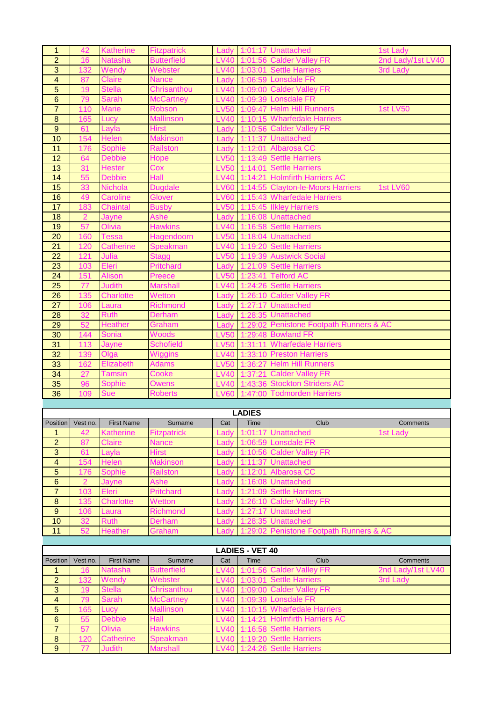| $\mathbf{1}$            | 42             | <b>Katherine</b>  | <b>Fitzpatrick</b> | Lady        |                        | 1:01:17 Unattached                            | 1st Lady          |
|-------------------------|----------------|-------------------|--------------------|-------------|------------------------|-----------------------------------------------|-------------------|
| $\overline{2}$          | 16             | <b>Natasha</b>    | <b>Butterfield</b> | <b>LV40</b> |                        | 1:01:56 Calder Valley FR                      | 2nd Lady/1st LV40 |
| $\overline{3}$          | 132            | Wendy             | Webster            | <b>LV40</b> |                        | 1:03:01 Settle Harriers                       | 3rd Lady          |
| $\overline{\mathbf{4}}$ | 87             | <b>Claire</b>     | <b>Nance</b>       | Lady        |                        | 1:06:59 Lonsdale FR                           |                   |
| $\overline{5}$          | 19             | <b>Stella</b>     | Chrisanthou        | <b>LV40</b> |                        | 1:09:00 Calder Valley FR                      |                   |
| $\overline{6}$          | 79             | <b>Sarah</b>      | <b>McCartney</b>   | <b>LV40</b> |                        | 1:09:39 Lonsdale FR                           |                   |
| $\overline{7}$          | 110            | <b>Marie</b>      | <b>Robson</b>      | <b>LV50</b> |                        | 1:09:47 Helm Hill Runners                     | <b>1st LV50</b>   |
| $\boldsymbol{8}$        | 165            | Lucy              | <b>Mallinson</b>   | <b>LV40</b> |                        | 1:10:15 Wharfedale Harriers                   |                   |
| $\overline{9}$          | 61             | Layla             | <b>Hirst</b>       | Lady        | 1:10:56                | <b>Calder Valley FR</b>                       |                   |
| 10                      | 154            | Helen             | <b>Makinson</b>    | Lady        | 1:11:37                | <b>Unattached</b>                             |                   |
| 11                      | 176            | <b>Sophie</b>     | <b>Railston</b>    | Lady        | 1:12:01                | Albarosa CC                                   |                   |
| 12                      | 64             | <b>Debbie</b>     | Hope               | <b>LV50</b> | 1:13:49                | <b>Settle Harriers</b>                        |                   |
| 13                      | 31             | <b>Hester</b>     | Cox                | <b>LV50</b> |                        | 1:14:01 Settle Harriers                       |                   |
| 14                      | 55             | <b>Debbie</b>     | Hall               | <b>LV40</b> | 1:14:21                | <b>Holmfirth Harriers AC</b>                  |                   |
| 15                      | 33             | Nichola           | <b>Dugdale</b>     | <b>LV60</b> |                        | 1:14:55 Clayton-le-Moors Harriers             | <b>1st LV60</b>   |
| 16                      | 49             | Caroline          | <b>Glover</b>      | <b>LV60</b> |                        | 1:15:43 Wharfedale Harriers                   |                   |
| 17                      | 183            | <b>Chaintal</b>   | <b>Busby</b>       | <b>LV50</b> |                        | 1:15:45 Ilkley Harriers                       |                   |
| 18                      | $\overline{2}$ | Jayne             | Ashe               | Lady        |                        | 1:16:08 Unattached                            |                   |
| 19                      | 57             | Olivia            | <b>Hawkins</b>     | <b>LV40</b> |                        | 1:16:58 Settle Harriers                       |                   |
| 20                      | 160            | <b>Tessa</b>      | Hagendoorn         | <b>LV50</b> |                        | 1:18:04 Unattached                            |                   |
| 21                      | 120            | <b>Catherine</b>  | Speakman           | <b>LV40</b> |                        | 1:19:20 Settle Harriers                       |                   |
| 22                      | 121            | Julia             | <b>Stagg</b>       | <b>LV50</b> |                        | 1:19:39 Austwick Social                       |                   |
|                         |                |                   |                    |             |                        |                                               |                   |
| 23                      | 103            | Eleri             | <b>Pritchard</b>   | Lady        |                        | 1:21:09 Settle Harriers<br>1:23:41 Telford AC |                   |
| 24                      | 151            | <b>Alison</b>     | Preece             | <b>LV50</b> |                        |                                               |                   |
| 25                      | 77             | <b>Judith</b>     | <b>Marshall</b>    | <b>LV40</b> |                        | 1:24:26 Settle Harriers                       |                   |
| 26                      | 135            | <b>Charlotte</b>  | Wetton             | Lady        |                        | 1:26:10 Calder Valley FR                      |                   |
| 27                      | 106            | Laura             | <b>Richmond</b>    | Lady        |                        | 1:27:17 Unattached                            |                   |
| 28                      | 32             | <b>Ruth</b>       | Derham             | Lady        |                        | 1:28:35 Unattached                            |                   |
| 29                      | 52             | <b>Heather</b>    | Graham             | Lady        | 1:29:02                | <b>Penistone Footpath Runners &amp; AC</b>    |                   |
| 30                      | 144            | Sonia             | <b>Woods</b>       | <b>LV50</b> |                        | 1:29:48 Bowland FR                            |                   |
| 31                      | 113            | Jayne             | <b>Schofield</b>   | <b>LV50</b> | 1:31:11                | <b>Wharfedale Harriers</b>                    |                   |
| $\overline{32}$         | 139            | Olga              | <b>Wiggins</b>     | <b>LV40</b> | 1:33:10                | <b>Preston Harriers</b>                       |                   |
| 33                      | 162            | Elizabeth         | <b>Adams</b>       | <b>LV50</b> | 1:36:27                | <b>Helm Hill Runners</b>                      |                   |
| 34                      | 27             | Tamsin            | Cooke              | <b>LV40</b> | 1:37:21                | <b>Calder Valley FR</b>                       |                   |
|                         |                |                   |                    |             |                        |                                               |                   |
| 35                      | 96             | <b>Sophie</b>     | Owens              | <b>LV40</b> | 1:43:36                | <b>Stockton Striders AC</b>                   |                   |
| 36                      | 109            | Sue               | Roberts            | <b>LV60</b> | 1:47:00                | <b>Todmorden Harriers</b>                     |                   |
|                         |                |                   |                    |             |                        |                                               |                   |
|                         |                |                   |                    |             | <b>LADIES</b>          |                                               |                   |
| Position                | Vest no.       | <b>First Name</b> | Surname            | Cat         | Time                   | Club                                          | Comments          |
| 1                       | 42             | <b>Katherine</b>  | Fitzpatrick        | Ladv        | 1:01:17                | <b>Unattached</b>                             | 1st Lady          |
| $\overline{2}$          | 87             | <b>Claire</b>     | <b>Nance</b>       | Lady        |                        | 1:06:59 Lonsdale FR                           |                   |
| 3                       | 61             | Layla             | <b>Hirst</b>       | Lady        |                        | 1:10:56 Calder Valley FR                      |                   |
| $\overline{4}$          | 154            | Helen             | <b>Makinson</b>    | Lady        | 1:11:37                | <b>Unattached</b>                             |                   |
| $\overline{5}$          | 176            | Sophie            | Railston           | Lady        | 1:12:01                | <b>Albarosa CC</b>                            |                   |
| $6\phantom{1}$          | $\overline{2}$ | Jayne             | Ashe               | Lady        |                        | 1:16:08 Unattached                            |                   |
| $\overline{7}$          | 103            | Eleri             | <b>Pritchard</b>   | Lady        |                        | 1:21:09 Settle Harriers                       |                   |
| $\bf 8$                 | 135            | <b>Charlotte</b>  | Wetton             | Lady        |                        | 1:26:10 Calder Valley FR                      |                   |
| 9                       | 106            | Laura             | <b>Richmond</b>    | Lady        | 1:27:17                | <b>Unattached</b>                             |                   |
| 10                      | 32             | <b>Ruth</b>       | Derham             | Lady        |                        | 1:28:35 Unattached                            |                   |
| 11                      | 52             | <b>Heather</b>    | Graham             | Ladv        | 1:29:02                | Penistone Footpath Runners & AC               |                   |
|                         |                |                   |                    |             |                        |                                               |                   |
|                         |                |                   |                    |             | <b>LADIES - VET 40</b> |                                               |                   |
| Position                | Vest no.       | <b>First Name</b> | Surname            | Cat         | Time                   | Club                                          | Comments          |
| 1                       | 16             | Natasha           | Butterfield        | <b>LV40</b> | 1:01:56                | <b>Calder Valley FR</b>                       | 2nd Lady/1st LV40 |
| $\overline{2}$          | 132            | Wendy             | Webster            | <b>LV40</b> |                        | 1:03:01 Settle Harriers                       | 3rd Lady          |
| $\mathbf{3}$            | 19             | <b>Stella</b>     | Chrisanthou        | <b>LV40</b> | 1:09:00                | <b>Calder Valley FR</b>                       |                   |
| $\overline{4}$          | 79             | <b>Sarah</b>      | <b>McCartney</b>   | <b>LV40</b> | 1:09:39                | <b>Lonsdale FR</b>                            |                   |
| 5                       | 165            | Lucy              | Mallinson          | LV40        | 1:10:15                | <b>Wharfedale Harriers</b>                    |                   |
| $6\phantom{1}$          | 55             | <b>Debbie</b>     | Hall               | <b>LV40</b> | 1:14:21                | <b>Holmfirth Harriers AC</b>                  |                   |
| $\overline{7}$          | 57             | Olivia            | Hawkins            | <b>LV40</b> | 1:16:58                | <b>Settle Harriers</b>                        |                   |
| $\bf 8$                 | 120            | <b>Catherine</b>  | Speakman           | <b>LV40</b> | 1:19:20                | <b>Settle Harriers</b>                        |                   |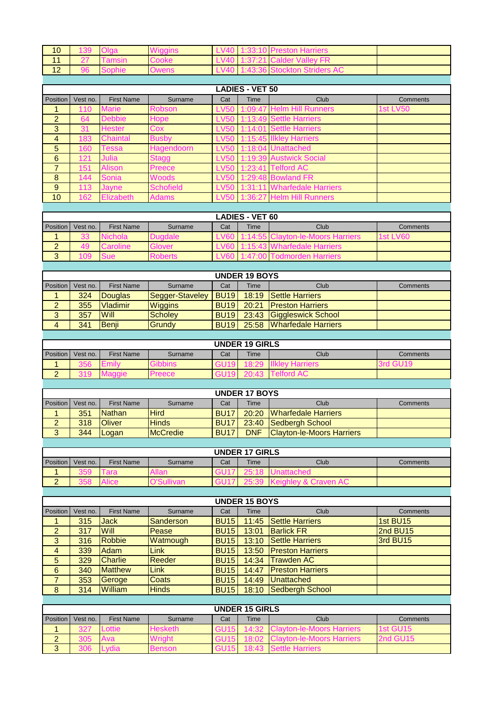| 10                    | 139 |      |      | -V40  | <b>10 Preston Harriers</b>   |  |
|-----------------------|-----|------|------|-------|------------------------------|--|
|                       |     | msın | ooke | LV40. | 1:37:21 Calder Valley FR     |  |
| $\overline{10}$<br>14 |     |      |      | LVAO  | 1:43:36 Stockton Striders AC |  |

|                 | <b>LADIES - VET 50</b> |                   |                  |             |      |                             |                 |  |  |  |  |  |
|-----------------|------------------------|-------------------|------------------|-------------|------|-----------------------------|-----------------|--|--|--|--|--|
| Position        | Vest no.               | <b>First Name</b> | Surname          | Cat         | Time | Club                        | <b>Comments</b> |  |  |  |  |  |
| 1               | 110                    | <b>Marie</b>      | <b>Robson</b>    | <b>LV50</b> |      | 1:09:47 Helm Hill Runners   | <b>1st LV50</b> |  |  |  |  |  |
| 2               | 64                     | <b>Debbie</b>     | Hope             | <b>LV50</b> |      | 1:13:49 Settle Harriers     |                 |  |  |  |  |  |
| 3               | 31                     | <b>Hester</b>     | Cox              | <b>LV50</b> |      | 1:14:01 Settle Harriers     |                 |  |  |  |  |  |
| $\overline{4}$  | 183                    | Chaintal          | <b>Busby</b>     | <b>LV50</b> |      | 1:15:45 Ilkley Harriers     |                 |  |  |  |  |  |
| $5\overline{)}$ | 160                    | Геssa             | Hagendoorn       | <b>LV50</b> |      | 1:18:04 Unattached          |                 |  |  |  |  |  |
| 6               | 121                    | Julia             | <b>Stagg</b>     | <b>LV50</b> |      | 1:19:39 Austwick Social     |                 |  |  |  |  |  |
| $\overline{7}$  | 151                    | <b>Alison</b>     | Preece           | <b>LV50</b> |      | 1:23:41 Telford AC          |                 |  |  |  |  |  |
| 8               | 144                    | <b>Sonia</b>      | <b>Woods</b>     | <b>LV50</b> |      | 1:29:48 Bowland FR          |                 |  |  |  |  |  |
| 9               | 113                    | Jayne             | <b>Schofield</b> | <b>LV50</b> |      | 1:31:11 Wharfedale Harriers |                 |  |  |  |  |  |
| 10              | 162                    | <b>Elizabeth</b>  | <b>Adams</b>     | <b>LV50</b> |      | 1:36:27 Helm Hill Runners   |                 |  |  |  |  |  |

|          |          |                   |         |     | <b>LADIES - VET 60</b> |                              |            |
|----------|----------|-------------------|---------|-----|------------------------|------------------------------|------------|
| Position | Vest no. | <b>First Name</b> | Surname | Cat | <b>Time</b>            | Club                         | Comments   |
|          | 33       | ichola            | uadale  |     |                        | 55 Clayton-le-Moors Harriers | 1st $LVBO$ |
| ∼        | 49       | roline            | Glover  |     |                        | harfedale Harriers           |            |
| ບ        | '09      |                   | ≺oberts |     |                        | lmorden Harriers.            |            |
|          |          |                   |         |     |                        |                              |            |

|                |          |                   |                 |                        | <b>UNDER 19 BOYS</b> |                           |          |
|----------------|----------|-------------------|-----------------|------------------------|----------------------|---------------------------|----------|
| Position       | Vest no. | <b>First Name</b> | Surname         | Cat                    | Time                 | Club                      | Comments |
|                | 324      | Douglas           | Segger-Staveley | <b>BU19</b>            |                      | 18:19 Settle Harriers     |          |
| $\overline{2}$ | 355      | <b>Vladimir</b>   | <b>Wiggins</b>  | <b>BU<sub>19</sub></b> |                      | 20:21 Preston Harriers    |          |
| 3              | 357      | <b>Will</b>       | <b>Scholev</b>  | <b>BU19</b>            |                      | 23:43 Giggleswick School  |          |
| $\overline{4}$ | 341      | <b>Benii</b>      | Grundy          | <b>BU19</b>            |                      | 25:58 Wharfedale Harriers |          |
|                |          |                   |                 |                        |                      |                           |          |

|          |          |                   |               |     | <b>UNDER 19 GIRLS</b> |      |          |
|----------|----------|-------------------|---------------|-----|-----------------------|------|----------|
| Position | Vest no. | <b>First Name</b> | Surname       | Cat | <b>Time</b>           | Club | Comments |
|          | 356      |                   |               |     |                       |      |          |
| ⌒        |          |                   | <b>Preece</b> |     |                       |      |          |

|                 |          |                   |                 |             | <b>UNDER 17 BOYS</b> |                                  |          |
|-----------------|----------|-------------------|-----------------|-------------|----------------------|----------------------------------|----------|
| <b>Position</b> | Vest no. | <b>First Name</b> | Surname         | Cat         | <b>Time</b>          | Club                             | Comments |
|                 | 351      | <b>Nathan</b>     | <b>Hird</b>     | <b>BU17</b> |                      | 20:20 Wharfedale Harriers        |          |
| ∠               | 318      | <b>IOliver</b>    | <b>Hinds</b>    | <b>BU17</b> |                      | 23:40 Sedbergh School            |          |
| 3               | 344      | <b>ILogan</b>     | <b>McCredie</b> | <b>BU17</b> | <b>DNF</b>           | <b>Clayton-le-Moors Harriers</b> |          |
|                 |          |                   |                 |             |                      |                                  |          |

|               |          |                   |         |     | <b>UNDER 17 GIRLS</b> |             |          |
|---------------|----------|-------------------|---------|-----|-----------------------|-------------|----------|
| Position      | Vest no. | <b>First Name</b> | Surname | Cat | Time                  | <b>Club</b> | Comments |
|               | 359      | ∣ara              | llan    |     |                       |             |          |
| ⌒<br><u>.</u> | 358      |                   |         |     |                       |             |          |

| <b>UNDER 15 BOYS</b> |                |                                        |              |             |                       |                                 |                      |  |
|----------------------|----------------|----------------------------------------|--------------|-------------|-----------------------|---------------------------------|----------------------|--|
| Position             | Vest no.       | <b>First Name</b>                      | Surname      | Cat         | Time                  | Club                            | Comments             |  |
|                      | 315            | Jack                                   | Sanderson    | <b>BU15</b> | 11:45                 | <b>Settle Harriers</b>          | 1st BU <sub>15</sub> |  |
| 2                    | 317            | <b>Will</b>                            | Pease        | <b>BU15</b> | 13:01                 | <b>Barlick FR</b>               | 2nd BU <sub>15</sub> |  |
| 3                    | 316            | <b>Robbie</b>                          | Watmough     | <b>BU15</b> | 13:10                 | <b>Settle Harriers</b>          | 3rd BU <sub>15</sub> |  |
| 4                    | 339            | Adam                                   | Link         | <b>BU15</b> | 13:50                 | <b>Preston Harriers</b>         |                      |  |
| 5                    | 329            | <b>Charlie</b>                         | Reeder       | <b>BU15</b> | 14:34                 | Trawden AC                      |                      |  |
| 6                    | 340            | <b>Matthew</b>                         | <b>Link</b>  | <b>BU15</b> | 14:47                 | <b>Preston Harriers</b>         |                      |  |
|                      | 353            | Geroge                                 | Coats        | <b>BU15</b> | 14:49                 | Unattached                      |                      |  |
| 8                    | 314            | <b>William</b>                         | <b>Hinds</b> | <b>BU15</b> | 18:10                 | Sedbergh School                 |                      |  |
|                      |                |                                        |              |             |                       |                                 |                      |  |
|                      |                |                                        |              |             | <b>UNDER 15 GIRLS</b> |                                 |                      |  |
| Position             | Vest no.       | <b>First Name</b>                      | Surname      | Cat         | Time                  | Club                            | Comments             |  |
| $\overline{A}$       | 0 <sub>2</sub> | $\mathbf{1}$ $\mathbf{1}$ $\mathbf{1}$ | الملامما الل | O(11F)      |                       | A 4.00 Cloutes le Mease Hassace | $4.4$ $O$ $14E$      |  |

|                 | PUSILIUI   VESLIIU. | Filst Natile | Sunane        | Gal | пше  | ∪lub                   | COMMITTENTS          |
|-----------------|---------------------|--------------|---------------|-----|------|------------------------|----------------------|
|                 | דמר                 | _ottie       | Hesketh       |     |      |                        | 1st GU <sub>15</sub> |
| $\sqrt{2}$<br>- | 305                 | Ava          | ,,,,,,,,,,    |     |      |                        | 2nd GU15             |
| $\sim$<br>ັ     | 306                 |              | <b>Benson</b> |     | 0.40 | <b>Settle Harriers</b> |                      |